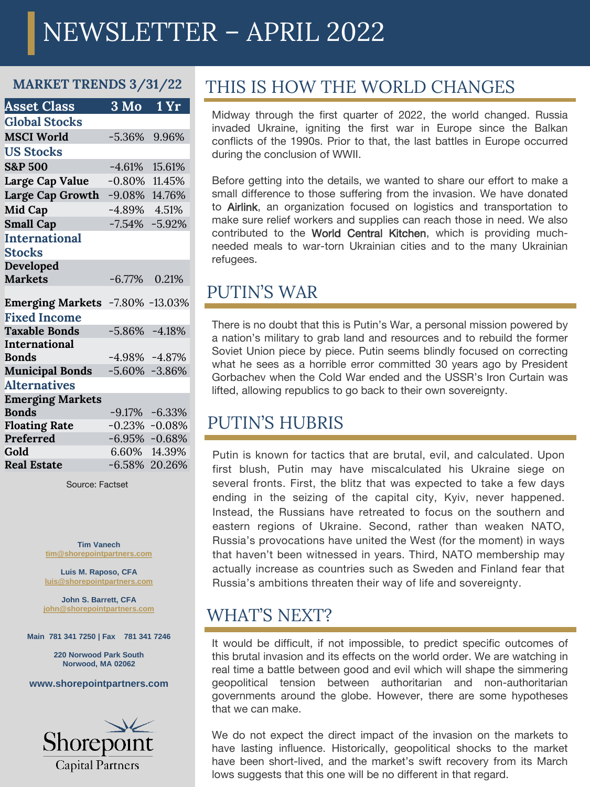# NEWSLETTER – APRIL 2022

#### **MARKET TRENDS 3/31/22**

| <b>Asset Class</b>              | 3 Mo      | 1 Yr              |
|---------------------------------|-----------|-------------------|
| <b>Global Stocks</b>            |           |                   |
| <b>MSCI World</b>               | $-5.36%$  | 9.96%             |
| <b>US Stocks</b>                |           |                   |
| <b>S&amp;P 500</b>              | $-4.61%$  | 15.61%            |
| Large Cap Value                 | $-0.80\%$ | 11.45%            |
| Large Cap Growth                | $-9.08%$  | 14.76%            |
| Mid Cap                         | $-4.89%$  | 4.51%             |
| <b>Small Cap</b>                | $-7.54%$  | $-5.92%$          |
| <b>International</b>            |           |                   |
| <b>Stocks</b>                   |           |                   |
| Developed                       |           |                   |
| <b>Markets</b>                  | $-6.77\%$ | 0.21%             |
| Emerging Markets -7.80% -13.03% |           |                   |
| <b>Fixed Income</b>             |           |                   |
| <b>Taxable Bonds</b>            | $-5.86\%$ | $-4.18%$          |
| <b>International</b>            |           |                   |
| <b>Bonds</b>                    |           | $-4.98\% -4.87\%$ |
| <b>Municipal Bonds</b>          | $-5.60%$  | $-3.86%$          |
| <b>Alternatives</b>             |           |                   |
| <b>Emerging Markets</b>         |           |                   |
| <b>Bonds</b>                    | -9.17%    | $-6.33%$          |
| <b>Floating Rate</b>            | $-0.23%$  | $-0.08%$          |
| Preferred                       | $-6.95%$  | $-0.68%$          |
| Gold                            | 6.60%     | 14.39%            |
| <b>Real Estate</b>              | -6.58%    | 20.26%            |

Source: Factset

**Tim Vanech tim@shorepointpartners.com**

**Luis M. Raposo, CFA luis@shorepointpartners.com**

**John S. Barrett, CFA john@shorepointpartners.com**

**Main 781 341 7250 | Fax 781 341 7246**

**220 Norwood Park South Norwood, MA 02062**

**www.shorepointpartners.com** 



### THIS IS HOW THE WORLD CHANGES

Midway through the first quarter of 2022, the world changed. Russia invaded Ukraine, igniting the first war in Europe since the Balkan conflicts of the 1990s. Prior to that, the last battles in Europe occurred during the conclusion of WWII.

Before getting into the details, we wanted to share our effort to make a small difference to those suffering from the invasion. We have donated to Airlink, an organization focused on logistics and transportation to make sure relief workers and supplies can reach those in need. We also contributed to the **World Central Kitchen**, which is providing muchneeded meals to war-torn Ukrainian cities and to the many Ukrainian refugees.

### PUTIN'S WAR

There is no doubt that this is Putin's War, a personal mission powered by a nation's military to grab land and resources and to rebuild the former Soviet Union piece by piece. Putin seems blindly focused on correcting what he sees as a horrible error committed 30 years ago by President Gorbachev when the Cold War ended and the USSR's Iron Curtain was lifted, allowing republics to go back to their own sovereignty.

### PUTIN'S HUBRIS

Putin is known for tactics that are brutal, evil, and calculated. Upon first blush, Putin may have miscalculated his Ukraine siege on several fronts. First, the blitz that was expected to take a few days ending in the seizing of the capital city, Kyiv, never happened. Instead, the Russians have retreated to focus on the southern and eastern regions of Ukraine. Second, rather than weaken NATO, Russia's provocations have united the West (for the moment) in ways that haven't been witnessed in years. Third, NATO membership may actually increase as countries such as Sweden and Finland fear that Russia's ambitions threaten their way of life and sovereignty.

### WHAT'S NEXT?

It would be difficult, if not impossible, to predict specific outcomes of this brutal invasion and its effects on the world order. We are watching in real time a battle between good and evil which will shape the simmering geopolitical tension between authoritarian and non-authoritarian governments around the globe. However, there are some hypotheses that we can make.

We do not expect the direct impact of the invasion on the markets to have lasting influence. Historically, geopolitical shocks to the market have been short-lived, and the market's swift recovery from its March lows suggests that this one will be no different in that regard.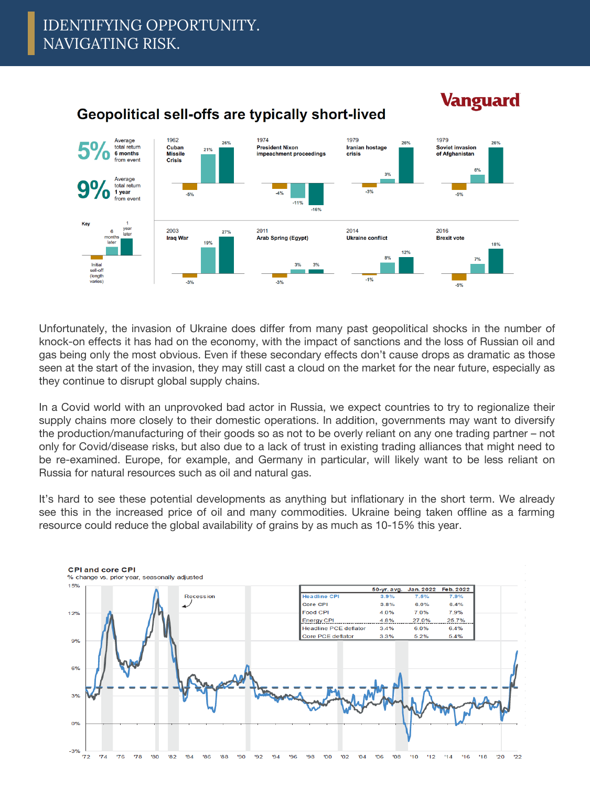

**Vanguard** 

#### Geopolitical sell-offs are typically short-lived

Unfortunately, the invasion of Ukraine does differ from many past geopolitical shocks in the number of knock-on effects it has had on the economy, with the impact of sanctions and the loss of Russian oil and gas being only the most obvious. Even if these secondary effects don't cause drops as dramatic as those seen at the start of the invasion, they may still cast a cloud on the market for the near future, especially as they continue to disrupt global supply chains.

In a Covid world with an unprovoked bad actor in Russia, we expect countries to try to regionalize their supply chains more closely to their domestic operations. In addition, governments may want to diversify the production/manufacturing of their goods so as not to be overly reliant on any one trading partner – not only for Covid/disease risks, but also due to a lack of trust in existing trading alliances that might need to be re-examined. Europe, for example, and Germany in particular, will likely want to be less reliant on Russia for natural resources such as oil and natural gas.

It's hard to see these potential developments as anything but inflationary in the short term. We already see this in the increased price of oil and many commodities. Ukraine being taken offline as a farming resource could reduce the global availability of grains by as much as 10-15% this year.

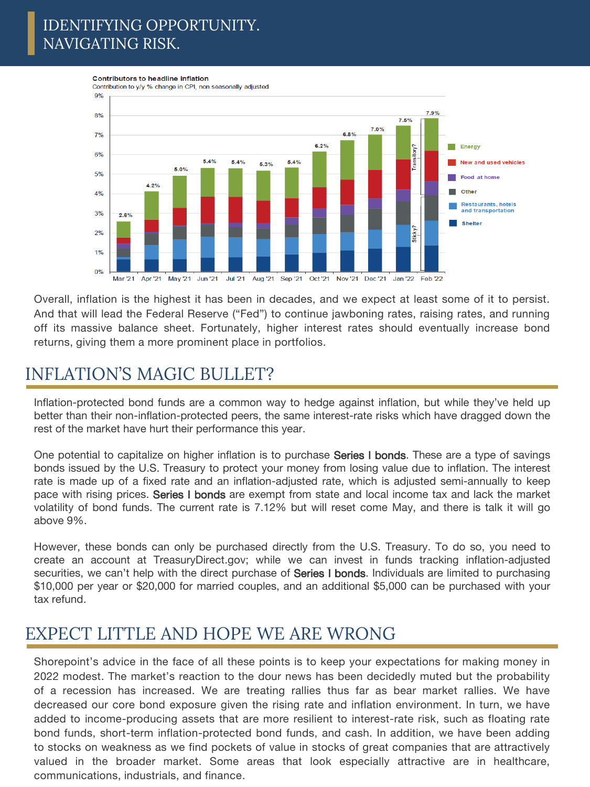### IDENTIFYING OPPORTUNITY. NAVIGATING RISK.

#### **Contributors to headline inflation**



Overall, inflation is the highest it has been in decades, and we expect at least some of it to persist. And that will lead the Federal Reserve ("Fed") to continue jawboning rates, raising rates, and running off its massive balance sheet. Fortunately, higher interest rates should eventually increase bond returns, giving them a more prominent place in portfolios.

## INFLATION'S MAGIC BULLET?

Inflation-protected bond funds are a common way to hedge against inflation, but while they've held up better than their non-inflation-protected peers, the same interest-rate risks which have dragged down the rest of the market have hurt their performance this year.

One potential to capitalize on higher inflation is to purchase **Series I bonds**. These are a type of savings bonds issued by the U.S. Treasury to protect your money from losing value due to inflation. The interest rate is made up of a fixed rate and an inflation-adjusted rate, which is adjusted semi-annually to keep pace with rising prices. Series I bonds are exempt from state and local income tax and lack the market volatility of bond funds. The current rate is 7.12% but will reset come May, and there is talk it will go above 9%.

However, these bonds can only be purchased directly from the U.S. Treasury. To do so, you need to create an account at TreasuryDirect.gov; while we can invest in funds tracking inflation-adjusted securities, we can't help with the direct purchase of Series I bonds. Individuals are limited to purchasing \$10,000 per year or \$20,000 for married couples, and an additional \$5,000 can be purchased with your tax refund.

#### EXPECT LITTLE AND HOPE WE ARE WRONG

Shorepoint's advice in the face of all these points is to keep your expectations for making money in 2022 modest. The market's reaction to the dour news has been decidedly muted but the probability of a recession has increased. We are treating rallies thus far as bear market rallies. We have decreased our core bond exposure given the rising rate and inflation environment. In turn, we have added to income-producing assets that are more resilient to interest-rate risk, such as floating rate bond funds, short-term inflation-protected bond funds, and cash. In addition, we have been adding to stocks on weakness as we find pockets of value in stocks of great companies that are attractively valued in the broader market. Some areas that look especially attractive are in healthcare, communications, industrials, and finance.